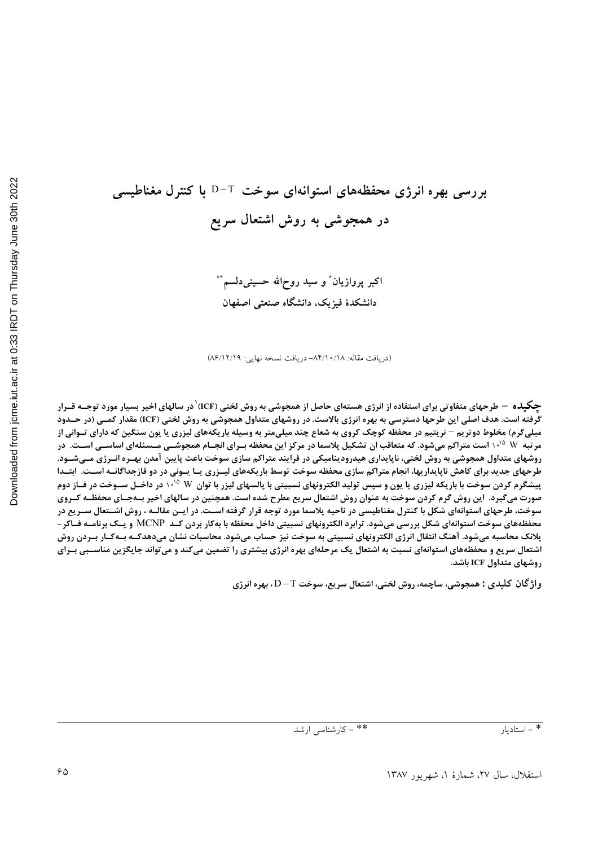# بررسی بهره انرژی محفظههای استوانهای سوخت T−T با کنترل مغناطیسی در همجوشی به روش اشتعال سریع

اکبر پروازیان ٌ و سید روحالله حسینیدلسم ٌ ٌ دانشکدهٔ فیزیک، دانشگاه صنعتی اصفهان

(دریافت مقاله: ١٨/٥/١٠/١٨- دریافت نسخه نهایی: ١٢/١٢/١٩)

چگیده – طرحهای متفاوتی برای استفاده از انرژی هستهای حاصل از همجوشی به روش لختی (ICF) در سالهای اخیر بسیار مورد توجـه قــرار گرفته است. هدف اصلی این طرحها دسترسی به بهره انرژی بالاست. در روشهای متداول همجوشی به روش لختی (ICF) مقدار کمـی (در حــدود میلیگرم) مخلوط دوتریم – تریتیم در محفظه کوچک کروی به شعاع چند میلیمتر به وسیله باریکههای لیزری یا یون سنگین که دارای تـوانی از مرتبه W ۱۰<sup>۱۵</sup> است متراکم میشود. که متعاقب ان تشکیل پلاسما در مرکز این محفظه بـرای انجـام همجوشــی مــسئلهای اساســی اســت. در روشهای متداول همجوشی به روش لختی، ناپایداری هیدرودینامیکی در فرایند متراکم سازی سوخت باعث پایین آمدن بهـره انـرژی مـیشـود. طرحهای جدید برای کاهش ناپایداریها، انجام متراکم سازی محفظه سوخت توسط باریکههای لیــزری یــا یــونی در دو فازجداگانــه اســت. ابتــدا پیشگرم کردن سوخت با باریکه لیزری یا یون و سپس تولید الکترونهای نسبیتی با پالسهای لیزر با توان W ۱۰<sup>۱۵ د</sup>ر داخـل ســوخت در فــاز دوم صورت میگیرد. این روش گرم کردن سوخت به عنوان روش اشتعال سریع مطرح شده است. همچنین در سالهای اخیر بـهجـای محفظـه کـروی سوخت، طرحهای استوانهای شکل با کنترل مغناطیسی در ناحیه پلاسما مورد توجه قرار گرفته اســت. در ایــن مقالــه ، روش اشــتعال ســریع در محفظههای سوخت استوانهای شکل بررسی میشود. ترابرد الکترونهای نسبیتی داخل محفظه با بهکار بردن کــد MCNP و یــک برنامــه فــاکر -پلانک محاسبه میشود. آهنگ انتقال انرژی الکترونهای نسبیتی به سوخت نیز حساب میشود. محاسبات نشان میدهدکـه بـهکـار بـردن روش اشتعال سریع و محفظههای استوانهای نسبت به اشتعال یک مرحلهای بهره انرژی بیشتری را تضمین میکند و میتواند جایگزین مناسـبی بـرای روشهای متداول ICF باشد.

واژگان کلیدی : همجوشی، ساچمه، روش لختی، اشتعال سریع، سوخت D-T، بهره انرژی

\* - استادىار

\*\* - كارشناسي ارشد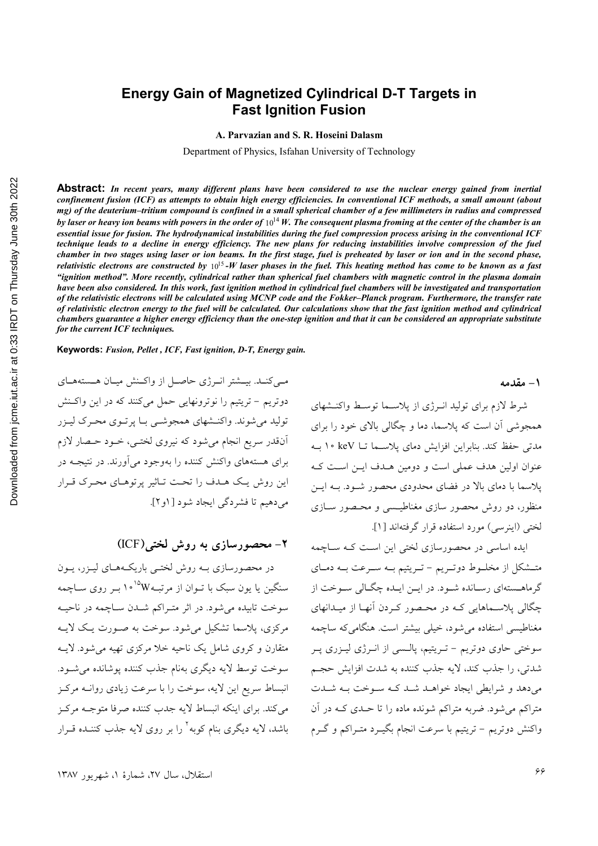## **Energy Gain of Magnetized Cylindrical D-T Targets in Fast Ignition Fusion**

**A. Parvazian and S. R. Hoseini Dalasm** 

Department of Physics, Isfahan University of Technology

**Abstract:** *In recent years, many different plans have been considered to use the nuclear energy gained from inertial confinement fusion (ICF) as attempts to obtain high energy efficiencies. In conventional ICF methods, a small amount (about mg) of the deuterium–tritium compound is confined in a small spherical chamber of a few millimeters in radius and compressed by laser or heavy ion beams with powers in the order of*  $10^{14}$  *W. The consequent plasma froming at the center of the chamber is an essential issue for fusion. The hydrodynamical instabilities during the fuel compression process arising in the conventional ICF technique leads to a decline in energy efficiency. The new plans for reducing instabilities involve compression of the fuel chamber in two stages using laser or ion beams. In the first stage, fuel is preheated by laser or ion and in the second phase, relativistic electrons are constructed by*  $10^{15}$ -*W laser phases in the fuel. This heating method has come to be known as a fast "ignition method". More recently, cylindrical rather than spherical fuel chambers with magnetic control in the plasma domain have been also considered. In this work, fast ignition method in cylindrical fuel chambers will be investigated and transportation of the relativistic electrons will be calculated using MCNP code and the Fokker–Planck program. Furthermore, the transfer rate of relativistic electron energy to the fuel will be calculated. Our calculations show that the fast ignition method and cylindrical chambers guarantee a higher energy efficiency than the one-step ignition and that it can be considered an appropriate substitute for the current ICF techniques.* 

**Keywords:** *Fusion, Pellet , ICF, Fast ignition, D-T, Energy gain.* 

مے کنــد. بیــشتر انــرژی حاصــل از واکــنش میــان هــستههــای دوتریم – تریتیم را نوترونهایی حمل میکنند که در این واکـنش تولید می شوند. واکنـشهای همجوشــی بـا پرتـوی محـرک لیــزر أنقدر سريع انجام مي شود كه نيروي لختـبي، خــود حــصار لازم برای هستههای واکنش کننده را بهوجود میآورند. در نتیجـه در این روش یک هـدف را تحـت تـاثیر پرتوهـای محـرک قـرار میدهیم تا فشردگی ایجاد شود [ ۱و ۲].

**۲**– محصورسازی به روش لختی(ICF)

در محصورسازی بـه روش لختـی باریکـههـای لیـزر، یـون سنگین یا یون سبک با تــوان از مرتبــه<sup>۱۵</sup>°۰ (بــر روی ســاچمه سوخت تابیده میشود. در اثر متـراکم شـدن سـاچمه در ناحیـه مرکزی، پلاسما تشکیل می شود. سوخت به صـورت یـک لایـه متقارن و کروی شامل یک ناحیه خلا مرکزی تهیه می شود. لایــه سوخت توسط لايه ديگري بهنام جذب كننده يوشانده مي شـود. انبساط سريع اين لايه، سوخت را با سرعت زيادي روانـه مركـز مي كند. براي اينكه انبساط لايه جدب كننده صرفا متوجـه مركـز باشد، لایه دیگری بنام کوبه<sup>۲</sup> را بر روی لایه جذب کننـده قــرار

شرط لازم برای تولید انـرژی از پلاسـما توسـط واکنـشهای همجوشی آن است که پلاسما، دما و چگالی بالای خود را برای مدتی حفظ کند. بنابراین افزایش دمای پلاسـما تــا keV ۱۰ بـه عنوان اولین هدف عملی است و دومین هـدف ایــن اسـت کـه یلاسما با دمای بالا در فضای محدودی محصور شـود. بـه ایــن منظور، دو روش محصور سازی مغناطیسیی و محـصور سـازی لختی (اینرسی) مورد استفاده قرار گرفتهاند [۱].

ایده اساسی در محصورسازی لختی این است کـه سـاچمه متــشكل از مخلــوط دوتــريم – تــريتيم بــه ســرعت بــه دمــاي گرماهـستهای رسـانده شـود. در ایــن ایــده چگـالی سـوخت از چگالی پلاســماهایی کــه در محـصور کــردن آنهــا از میــدانهای مغناطیسی استفاده میشود، خیل<sub>ی</sub> بیشتر است. هنگامیکه ساچمه سوختی حاوی دوتریم - تـریتیم، پالـسی از انـرژی لیـزری پـر شدتي، را جذب كند، لايه جذب كننده به شدت افزايش حجـم می دهد و شرایطی ایجاد خواهـد شـد کـه سـوخت بـه شـدت متراکم می شود. ضربه متراکم شونده ماده را تا حـدی کـه در آن واکنش دوتریم – تریتیم با سرعت انجام بگیـرد متـراکم و گـرم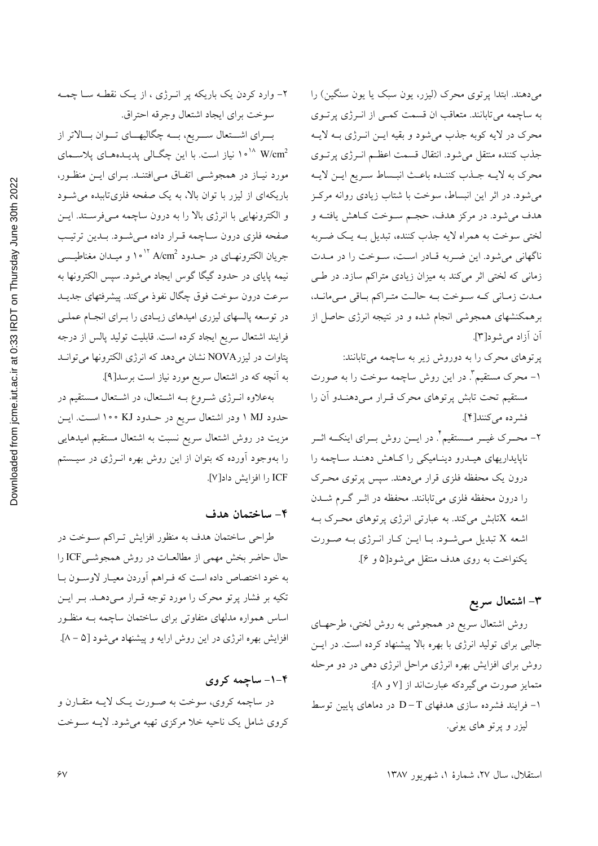۲- وارد کردن یک باریکه پر انـرژی ، از یـک نقطـه سـا چمـه سوخت براي ايجاد اشتعال وجرقه احتراق. بسرای اشستعال سسریع، بسه چگالیهسای تسوان بسالاتر از مورد نیـاز در همجوشــی اتفـاق مــی|فتنــد. بــرای ایــن منظــور، باریکهای از لیزر با توان بالا، به یک صفحه فلزیتاببده می شود و الكترونهايي با انرژي بالا را به درون ساچمه مـي فرسـتد. ايـن صفحه فلزي درون سـاچمه قـرار داده مـي شـود. بـدين ترتيـب جریان الکترونهـای در حــدود A/cm<sup>2 ۱۰</sup> ۱<sup>۰ ر</sup> و میــدان مغناطیــسی نیمه پایای در حدود گیگا گوس ایجاد میشود. سپس الکترونها به سرعت درون سوخت فوق چگال نفوذ میکند. پیشرفتهای جدیــد در توسعه پالسهای لیزری امیدهای زیـادی را بـرای انجـام عملـی فرايند اشتعال سريع ايجاد كرده است. قابليت توليد پالس از درجه پتاوات در لیزرNOVA نشان میدهد که انرژی الکترونها می توانـد به آنچه که در اشتعال سریع مورد نیاز است برسد[۹].

به علاوه انوژی شووع به اشتعال، در اشتعال مستقیم در حدود MJ ۱ ودر اشتعال سریع در حـدود KJ ۱۰۰ اسـت. ایــن مزیت در روش اشتعال سریع نسبت به اشتعال مستقیم امیدهایی را بهوجود آورده که بتوان از این روش بهره انــرژی در سیــستم ICF را افزايش داد[V].

#### ۴- ساختمان هدف

طراحی ساختمان هدف به منظور افزایش تـراکم سـوخت در حال حاضر بخش مهمی از مطالعـات در روش همجوشـیICF را به خود اختصاص داده است كه فـراهم أوردن معيـار لاوسـون بـا تکیه بر فشار پرتو محرک را مورد توجه قـرار مـی۵هـد. بـر ایـن اساس همواره مدلهای متفاوتی برای ساختمان ساچمه بـه منظـور افزایش بهره انرژی در این روش ارایه و پیشنهاد میشود [۵ – ۸].

۴-۱- ساچمه کروی در ساچمه کروی، سوخت به صورت یک لایـه متقـارن و کروی شامل یک ناحیه خلا مرکزی تهیه می شود. لایــه ســوخت

میدهند. ابتدا پرتوی محرک (لیزر، یون سبک یا یون سنگین) را به ساچمه میتابانند. متعاقب ان قسمت کمبی از انرژی پرتوی محرک در لایه کوبه جذب میشود و بقیه ایـن انـرژی بـه لایـه جذب كننده منتقل مىشود. انتقال قسمت اعظـم انــرژى پرتــوى محرك به لايـه جـذب كننـده باعـث انبـساط سـريع ايـن لايـه می شود. در اثر این انبساط، سوخت با شتاب زیادی روانه مرکز هدف مي شود. در مركز هدف، حجـم ســوخت كــاهش يافتــه و لختی سوخت به همراه لایه جذب کننده، تبدیل بــه یــک ضــربه ناگهانی میشود. این ضربه قادر است، سوخت را در ملدت زمانی که لختی اثر میکند به میزان زیادی متراکم سازد. در طبی مبدت زمیانی کیه سیوخت بیه حالیت متیراکم بیاقی می مانید، برهمکنشهای همجوشی انجام شده و در نتیجه انرژی حاصل از آن آزاد می شو د[۳].

- پرتوهای محرک را به دوروش زیر به ساچمه میتابانند:
- ۱– محرک مستقیم". در این روش ساچمه سوخت را به صورت مستقیم تحت تابش پرتوهای محرک قـرار مـی۱هنـدو آن را فشرده مي كنند[۴].
- ۲- محــرک غیــر مـــستقیم ٌ. در ایـــن روش بــرای اینکــه اثــر ناپایداریهای هیـدرو دینـامیکی را کـاهش دهنـد سـاچمه را درون یک محفظه فلزی قرار میدهند. سپس پرتوی محـرک را درون محفظه فلزی میتابانند. محفظه در اثــر گــرم شـــدن اشعه Xتابش میکند. به عبارتی انرژی پرتوهای محرک بـه اشعه X تبدیل می شود. بـا ایـن کـار انـرژی بـه صـورت يكنواخت به روى هدف منتقل مى شود[۵ و ۶].

## ۳- اشتعال سريع

روش اشتعال سریع در همجوشی به روش لختی، طرحهـای جالبی برای تولید انرژی با بهره بالا پیشنهاد کرده است. در ایــن روش برای افزایش بهره انرژی مراحل انرژی دهی در دو مرحله متمایز صورت می گیردکه عبارتاند از [۷ و ۸]: ۱− فرایند فشرده سازی هدفهای D−T در دماهای پایین توسط ليزر و پرتو هاى يونى.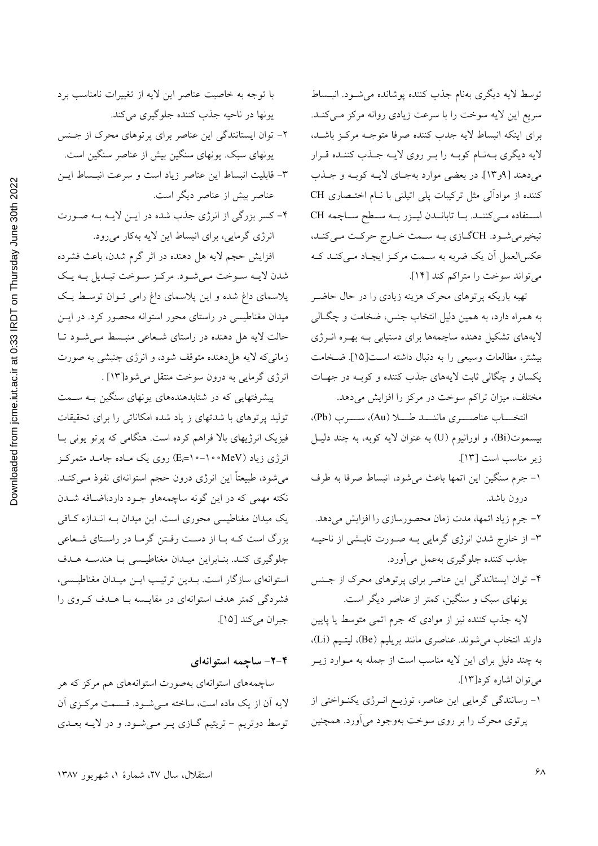Downloaded from jcme.iut.ac.ir at 0:33 IRDT on Thursday June 30th 2022

با توجه به خاصیت عناصر این لایه از تغییرات نامناسب برد یونها در ناحیه جذب کننده جلوگیری میکند. ۲- توان ایستانندگی این عناصر برای پرتوهای محرک از جنس یونهای سبک. یونهای سنگین بیش از عناصر سنگین است. ٣- قابليت انبساط اين عناصر زياد است و سرعت انبـساط ايــن عناصر بیش از عناصر دیگر است.

۴- کسر بزرگی از انرژی جذب شده در ایـن لایـه بـه صـورت انرژی گرمایی، برای انبساط این لایه بهکار میرود.

افزایش حجم لایه هل دهنده در اثر گرم شدن، باعث فشرده شدن لايـه سـوخت مـىشـود. مركـز سـوخت تبـديل بـه يـك پلاسمای داغ شده و این پلاسمای داغ رامی تـوان توسـط یـک میدان مغناطیسی در راستای محور استوانه محصور کرد. در ایــن حالت لایه هل دهنده در راستای شـعاعی منبـسط مـی شـود تـا زمانی که لایه هل دهنده متوقف شود، و انرژی جنبشی به صورت انرژی گرمایی به درون سوخت منتقل میشود[۱۳] .

پیشرفتهایی که در شتابدهندههای پونهای سنگین بـه سـمت تولید پرتوهای با شدتهای ز یاد شده امکاناتی را برای تحقیقات فیزیک انرژیهای بالا فراهم کرده است. هنگامی که پرتو یونی بـا انرژی زیاد (MeV∘•۱-•۱=، (E<sub>i</sub>=۱) روی یک مـاده جامـد متمرکـز می شود، طبیعتاً این انرژی درون حجم استوانهای نفوذ مـیکنــد. نکته مهمی که در این گونه ساچمههاو جـود دارد،اضـافه شـدن یک میدان مغناطیسی محوری است. این میدان بـه انـدازه کـافی بزرگ است کـه بـا از دسـت رفـتن گرمـا در راسـتای شـعاعی جلوگیری کنـد. بنـابراین میـدان مغناطیـسی بـا هندسـه هـدف استوانهای سازگار است. بـدین ترتیـب ایـن میـدان مغناطیـسی، فشردگی کمتر هدف استوانهای در مقایسه بـا هــدف کــروی را جبران مي كند [١٥].

#### ۴-۲- ساچمه استوانهای

ساچمههای استوانهای بهصورت استوانههای هم مرکز که هر لایه آن از یک ماده است، ساخته مـیشـود. قـسمت مرکـزی آن توسط دوتریم - تریتیم گـازی پـر مـیشـود. و در لایـه بعـدی

توسط لايه ديگري بهنام جذب كننده پوشانده مي شـود. انبـساط سريع اين لايه سوخت را با سرعت زيادي روانه مركز مـى كنـد. براي اينكه انبساط لايه جدب كننده صرفا متوجـه مركـز باشـد، لايه ديگري بـهنـام كوبـه را بـر روي لايـه جـذب كننـده قـرار مي دهند [۹و۱۳]. در بعضي موارد بهجـاي لايــه كوبــه و جــذب كننده از موادالي مثل تركيبات پلي اتيلني با نـام اختـصاري CH استفاده می کننـد. بـا تابانـدن ليـزر بـه سـطح سـاچمه CH تبخیرمی شـود. CHگـازي بـه سـمت خـارج حركـت مـي كنـد، عکسالعمل آن یک ضربه به سمت مرکز ایجاد میکند که می تواند سوخت را متراکم کند [۱۴].

تهیه باریکه پرتوهای محرک هزینه زیادی را در حال حاضـر به همراه دارد، به همین دلیل انتخاب جنس، ضخامت و چگـالی لایههای تشکیل دهنده ساچمهها برای دستیابی بـه بهـره انـرژی بيشتر، مطالعات وسيعي را به دنبال داشته است[١٥]. ضخامت یکسان و چگالی ثابت لایههای جذب کننده و کوبه در جهات مختلف، میزان تراکم سوخت در مرکز را افزایش میدهد.

انتخـــاب عناصــــرى ماننــــد طــــلا (Au)، ســــرب (Pb)، بيسموت(Bi)، و اورانيوم (U) به عنوان لايه كوبه، به چند دليـل زير مناسب است [١٣].

- ١- جرم سنگين اين اتمها باعث مي شود، انبساط صرفا به طرف درون باشد.
- ۲– جرم زیاد اتمها، مدت زمان محصورسازی را افزایش میدهد.
- ۳- از خارج شدن انرژی گرمایی بـه صـورت تابـشی از ناحیـه جذب كننده جلوگيري بهعمل مي آورد.
- ۴- توان ایستانندگی این عناصر برای پرتوهای محرک از جنس یونهای سبک و سنگین، کمتر از عناصر دیگر است.

لایه جذب کننده نیز از موادی که جرم اتمی متوسط یا پایین دارند انتخاب می شوند. عناصری مانند بریلیم (Be)، لیتـیم (Li)، به چند دلیل برای این لایه مناسب است از جمله به مـوارد زیــر می توان اشاره کرد[۱۳].

۱– رسانندگی گرمایی این عناصر، توزیـع انـرژی یکنـواختی از پرتوی محرک را بر روی سوخت بهوجود میآورد. همچنین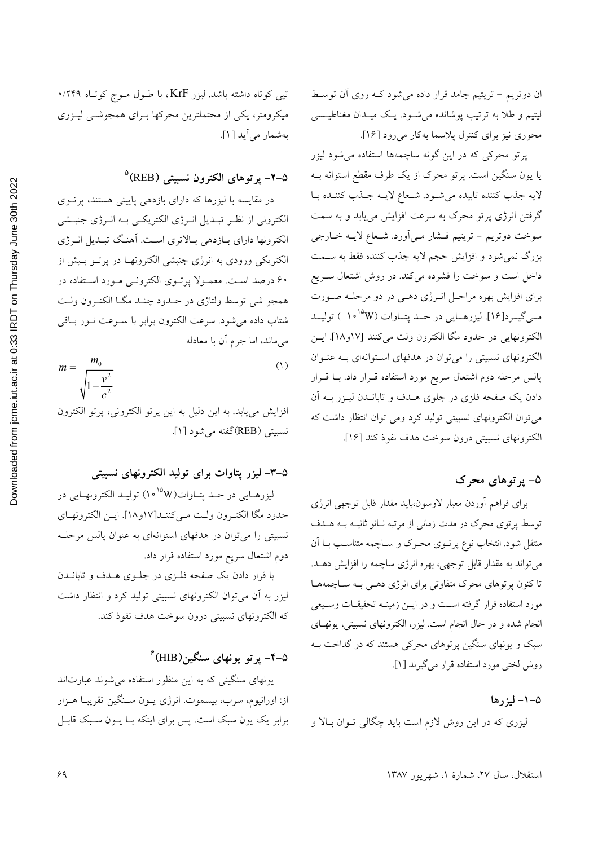2022 Downloaded from jcme.jut.ac.ir at 0:33 IRDT on Thursday June 30th تپی کوتاه داشته باشد. لیزر KrF، با طـول مـوج کوتـاه ۲۴۹/۰ میکرومتر، یکی از محتملترین محرکها بـرای همجوشــی لیـزری بهشمار مي آيد [ ١].

0-۲– پرتوهای الکترون نسبیتی (REB)

در مقایسه با لیزرها که دارای بازدهی پایینی هستند، پرتوی الکترونی از نظـر تبـدیل انــرژی الکتریکــی بــه انــرژی جنبــشی الکترونها دارای بـازدهی بـالاتری اسـت. آهنـگ تبـديل انــرژی ۔<br>الکتریکی ورودی به انرژی جنبشی الکترونهــا در پرتــو بــیش از **۶۰ درصد است. معمـولا پرتـوی الکترونـی مـورد اسـتفاده در** همجو شي توسط ولتاژي در حـدود چنـد مگـا الكتـرون ولـت شتاب داده می شود. سرعت الکترون برابر با سـرعت نـور بـاقی میماند، اما جرم آن با معادله

$$
m = \frac{m_0}{\sqrt{1 - \frac{v^2}{c^2}}}
$$
 (1)

افزایش مییابد. به این دلیل به این پرتو الکترونی، پرتو الکترون نسبيتي (REB)گفته مي شود [۱].

## ۵–۳– لیزر پتاوات برای تولید الکترونهای نسبیتی

ليزرهــايي در حــد پتــاوات(W°`۰۹) توليــد الكترونهــايي در حدود مكا الكتـرون ولـت مـىكننـد[١٧و١٨]. ايـن الكترونهـاي نسبیتی را می توان در هدفهای استوانهای به عنوان پالس مرحلـه دوم اشتعال سريع مورد استفاده قرار داد.

با قرار دادن یک صفحه فلزی در جلوی هـدف و تابانـدن لیزر به آن میتوان الکترونهای نسبیتی تولید کرد و انتظار داشت كه الكترونهاى نسبيتي درون سوخت هدف نفوذ كند.

# ۵–۴– پر تو یونهای سنگین(HIB)<sup>ء</sup>

یونهای سنگینی که به این منظور استفاده می شوند عبارتاند از: اورانيوم، سرب، بيسموت. انرژى پـون سـنگين تقريبـا هـزار برابر یک یون سبک است. پس برای اینکه بـا یــون ســبک قابــل ان دوتریم – تریتیم جامد قرار داده میشود کـه روی آن توسـط لیتیم و طلا به ترتیب پوشانده می شـود. یـک میـدان مغناطیـسی محوری نیز برای کنترل پلاسما بهکار میرود [۱۶].

پرتو محرکی که در این گونه ساچمهها استفاده میشود لیزر یا یون سنگین است. پرتو محرک از یک طرف مقطع استوانه بـه لايه جذب كننده تابيده مى شود. شـعاع لايــه جــذب كننــده بــا گرفتن انرژی پرتو محرک به سرعت افزایش مییابد و به سمت سوخت دوتریم – تریتیم فـشار مـی|َورد. شـعاع لایـه خـارجی بزرگ نمی شود و افزایش حجم لایه جذب کننده فقط به سـمت داخل است و سوخت را فشرده میکند. در روش اشتعال سـریع برای افزایش بهره مراحل انرژی دهمی در دو مرحله صورت مـیگیـرد[۱۶]. لیزرهــایی در حــد پتــاوات (۱۰<sup>۱۵</sup>۷ ) تولیــد الكترونهايي در حدود مگا الكترون ولت مي كنند [١٧و١٨]. ايـن الکترونهای نسبیتی را می توان در هدفهای استوانهای بـه عنـوان پالس مرحله دوم اشتعال سریع مورد استفاده قـرار داد. بــا قــرار دادن یک صفحه فلزی در جلوی هـدف و تابانــدن لیـزر بــه آن می توان الکترونهای نسبیتی تولید کرد ومی توان انتظار داشت که الكترونهاي نسبيتي درون سوخت هدف نفوذ كند [١۶].

## ۵- پر توهای محرک

براى فراهم أوردن معيار لاوسون،بايد مقدار قابل توجهي انرژى توسط پرتوی محرک در مدت زمانی از مرتبه نـانو ثانیــه بــه هــدف منتقل شود. انتخاب نوع پرتــوی محــرک و ســاچمه متناســب بــا آن میتواند به مقدار قابل توجهی، بهره انرژی ساچمه را افزایش دهـد. تا کنون پرتوهای محرک متفاوتی برای انرژی دهـی بـه سـاچمههـا مورد استفاده قرار گرفته است و در ایــن زمینــه تحقیقــات وســیعی انجام شده و در حال انجام است. لیزر، الکترونهای نسبیتی، یونهـای سبک و یونهای سنگین پرتوهای محرکی هستند که در گداخت بـه روش لختی مورد استفاده قرار می گیرند [۱].

#### ۵-۱- لیزرها

لیزری که در این روش لازم است باید چگالی تـوان بـالا و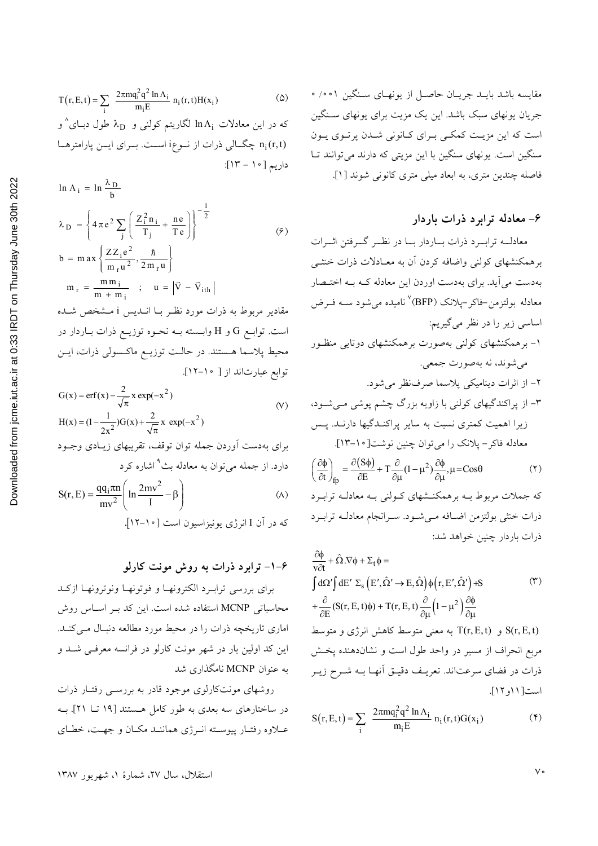#### ۶- معادله ترابرد ذرات باردار

معادلــه ترابــرد ذرات بــاردار بــا در نظــر گــرفتن اثــرات برهمکنشهای کولنی واضافه کردن آن به معـادلات ذرات خنثـی بهدست می آید. برای بهدست اوردن این معادله کـه بـه اختـصار معادله بولتزمن-فاکر –پلانک (BFP<sup>) (</sup>نامیده می شود ســه فــرض اساسی زیر را در نظر میگیریم: ۱- برهمکنشهای کولنی بهصورت برهمکنشهای دوتایی منظـور مي شوند، نه بهصورت جمعي. ٢- از اثرات ديناميكي پلاسما صرف نظر مي شود.

$$
\left(\frac{\partial \phi}{\partial t}\right)_{\text{fp}} = \frac{\partial (S\phi)}{\partial E} + T \frac{\partial}{\partial \mu} (1 - \mu^2) \frac{\partial \phi}{\partial \mu}, \mu = \text{Cos}\theta \tag{5}
$$

که جملات مربوط بـه برهمکنـشهاى کـولنى بـه معادلـه ترابـرد ذرات خنثى بولتزمن اضافه مى شود. سـرانجام معادلـه ترابـرد ذرات باردار چنین خواهد شد:

$$
\frac{\partial \phi}{\partial t} + \hat{\Omega}.\nabla \phi + \Sigma_t \phi =
$$
\n
$$
\int d\Omega' \int dE' \Sigma_s (E', \hat{\Omega}' \to E, \hat{\Omega}) \phi(r, E', \hat{\Omega}') + S
$$
\n
$$
+ \frac{\partial}{\partial E} (S(r, E, t)\phi) + T(r, E, t) \frac{\partial}{\partial \mu} (1 - \mu^2) \frac{\partial \phi}{\partial \mu}
$$
\n
$$
\Delta \phi = T(r, E, t)
$$
\n
$$
\phi = \int f(r, E, t) \phi = \int f(r, E, t) \phi = \int f(r, E, t) \phi = \int f(r, E, t) \phi = \int f(r, E, t) \phi = \int f(r, E, t) \phi = \int f(r, E, t) \phi = \int f(r, E, t) \phi = \int f(r, E, t) \phi = \int f(r, E, t) \phi = \int f(r, E, t) \phi = \int f(r, E, t) \phi = \int f(r, E, t) \phi = \int f(r, E, t) \phi = \int f(r, E, t) \phi = \int f(r, E, t) \phi = \int f(r, E, t) \phi = \int f(r, E, t) \phi = \int f(r, E, t) \phi = \int f(r, E, t) \phi = \int f(r, E, t) \phi = \int f(r, E, t) \phi = \int f(r, E, t) \phi = \int f(r, E, t) \phi = \int f(r, E, t) \phi = \int f(r, E, t) \phi = \int f(r, E, t) \phi = \int f(r, E, t) \phi = \int f(r, E, t) \phi = \int f(r, E, t) \phi = \int f(r, E, t) \phi = \int f(r, E, t) \phi = \int f(r, E, t) \phi = \int f(r, E, t) \phi = \int f(r, E, t) \phi = \int f(r, E, t) \phi = \int f(r, E, t) \phi = \int f(r, E, t) \phi = \int f(r, E, t) \phi = \int f(r, E, t) \phi = \int f(r, E, t) \phi = \int f(r, E, t) \phi = \int f(r, E, t) \phi = \int f(r, E, t) \phi = \int f(r, E, t) \phi = \int f(r, E, t) \phi = \int f(r, E, t) \phi = \int f(r, E, t) \phi = \int
$$

$$
S(r, E, t) = \sum_{i} \frac{2\pi m q_i^2 q^2 \ln \Lambda_i}{m_i E} n_i(r, t) G(x_i)
$$
 (†)

$$
T(r, E, t) = \sum_{i} \frac{2\pi m q_i^2 q^2 \ln \Lambda_i}{m_i E} n_i(r, t) H(x_i)
$$
 (2)

که در این معادلات  $\ln \Lambda_1$  لگاریتم کولنی و  $\lambda_{\rm D}$  طول دبــای $\degree$ و n<sub>i</sub>(r,t) چگالی ذرات از نوعi است. بوای ایس پارامترها داريم [١٠ - ١٣]:

$$
\ln \Lambda_{i} = \ln \frac{\lambda_{D}}{b}
$$
\n
$$
\lambda_{D} = \left\{ 4 \pi e^{2} \sum_{j} \left( \frac{Z_{i}^{2} n_{i}}{T_{j}} + \frac{ne}{Te} \right) \right\}^{-\frac{1}{2}}
$$
\n
$$
b = \max \left\{ \frac{Z Z_{i} e^{2}}{m_{r} u^{2}}, \frac{\hbar}{2 m_{r} u} \right\}
$$
\n
$$
m_{r} = \frac{m m_{i}}{m + m_{i}} \quad ; \quad u = \left| \vec{V} - \vec{V}_{ith} \right|
$$
\n
$$
\text{where } \vec{V} = \frac{m_{r} m_{i}}{m_{r} u^{2}} \quad ; \quad u = \left| \vec{V} - \vec{V}_{ith} \right|
$$

است. توابــع G و H وابـــسته بــه نحــوه توزيــع ذرات بــاردار در محیط پلاسما هستند. در حالت توزیـع ماکـسولی ذرات، ایـن توابع عبارتاند از [ ١٥-١٢].

$$
G(x) = erf(x) - \frac{2}{\sqrt{\pi}} x exp(-x^{2})
$$
  
 
$$
H(x) = (1 - \frac{1}{2x^{2}})G(x) + \frac{2}{\sqrt{\pi}} x exp(-x^{2})
$$
 (V)

برای بهدست آوردن جمله توان توقف، تقریبهای زیـادی وجـود دارد. از جمله میٍتوان به معادله بث<sup>۹</sup> اشاره کرد

$$
S(r, E) = \frac{qq_1 \pi n}{mv^2} \left( \ln \frac{2mv^2}{I} - \beta \right)
$$
 (A)

که در ان I انرژی پونیزاسیون است [۱۰-۱۲].

#### ۶–۱– ترابرد ذرات به روش مونت کارلو

برای بررسی ترابـرد الكترونهـا و فوتونهـا ونوترونهـا ازكـد محاسباتی MCNP استفاده شده است. این کد بـر اسـاس روش اماری تاریخچه ذرات را در محیط مورد مطالعه دنبال می کنـد. این کد اولین بار در شهر مونت کارلو در فرانسه معرفی شد و به عنوان MCNP نامگذاری شد

روشهای مونتکارلوی موجود قادر به بررسمی رفتـار ذرات در ساختارهای سه بعدی به طور کامل هستند [۱۹ تــا ۲۱]. بــه عـلاوه رفتـار پيوسـته انـرژي هماننـد مكـان و جهـت، خطـاي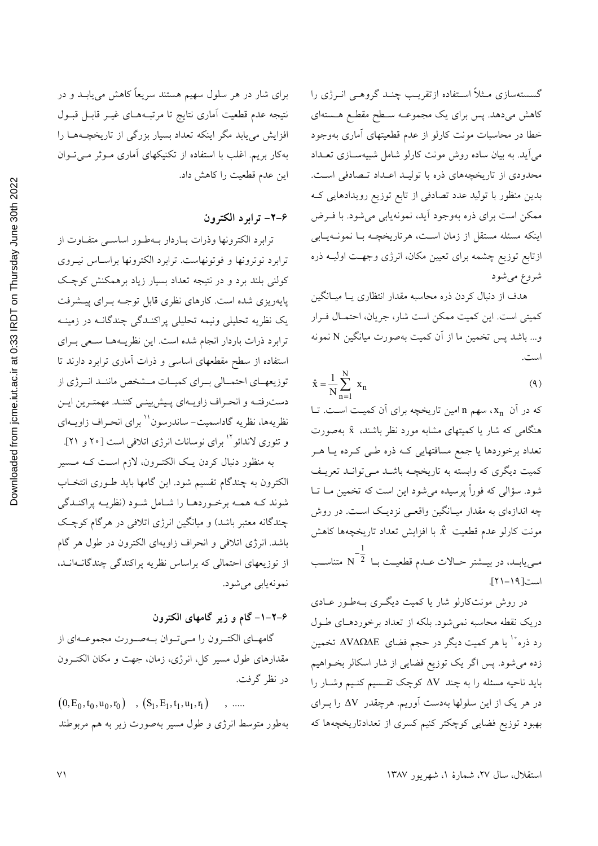Downloaded from jcme.iut.ac.ir at 0:33 IRDT on Thursday June 30th 2022

برای شار در هر سلول سهیم هستند سریعاً کاهش می یابــد و در نتيجه عدم قطعيت أماري نتايج تا مرتبـههـاي غيـر قابـل قبـول افزایش مییابد مگر اینکه تعداد بسیار بزرگی از تاریخچـههـا را بهکار بریم. اغلب با استفاده از تکنیکهای آماری مـوثر مـیتـوان این عدم قطعیت را کاهش داد.

## ۶–۲– ترابرد الکترون

ترابرد الكترونها وذرات بباردار ببهطور اساسبي متفياوت از ترابرد نوترونها و فوتونهاست. ترابرد الكترونها براسـاس نيـروي کولنی بلند برد و در نتیجه تعداد بسیار زیاد برهمکنش کوچک پایهریزی شده است. کارهای نظری قابل توجـه بـرای پیـشرفت یک نظریه تحلیلی ونیمه تحلیلی پراکنـدگی چندگانـه در زمینـه ترابرد ذرات باردار انجام شده است. این نظریـههـا سـعی بـرای استفاده از سطح مقطعهای اساسی و ذرات آماری ترابرد دارند تا توزیعهـای احتمــالی بــرای کمیــات مــشخص ماننــد انــرژی از دسترفتـه و انحـراف زاويـهاي پـيش؛ينـي كننـد. مهمتـرين ايـن نظريهها، نظريه گاداسميت- ساندرسون'' براي انحـراف زاويــهاي و تئوری لاندائو `` برای نوسانات انرژی اتلافی است [۲۰ و ۲۱].

به منظور دنبال کردن یک الکتـرون، لازم اسـت کـه مـسير الکترون به چندگام تقسیم شود. این گامها باید طـوری انتخـاب شوند کـه همـه برخـوردهـا را شـامل شـود (نظریـه پراکنـدگی چندگانه معتبر باشد) و میانگین انرژی اتلافی در هرگام کوچک باشد. انرژی اتلافی و انحراف زاویهای الکترون در طول هر گام از توزیعهای احتمالی که براساس نظریه پراکندگی چندگانـهانـد، نمونەيابى مى شود.

#### ۶–۲–۱– گام و زیر گامهای الکترون

گامهای الکتـرون را مـیتوان بـهصورت مجموعـهای از مقدارهای طول مسیر کل، انرژی، زمان، جهت و مکان الکتـرون در نظر گرفت.

 $(0, E_0, t_0, u_0, r_0)$ ,  $(S_1, E_1, t_1, u_1, r_1)$  $\ddot{\phantom{a}}$ بهطور متوسط انرژی و طول مسیر بهصورت زیر به هم مربوطند گسستهسازی مــثلاً اســتفاده ازتقریــب چنــد گروهــی انــرژی را کاهش میدهد. پس برای یک مجموعــه ســطح مقطـع هــستهای خطا در محاسبات مونت کارلو از عدم قطعیتهای آماری بهوجود میآید. به بیان ساده روش مونت کارلو شامل شبیهســازی تعــداد محدودی از تاریخچههای ذره با تولیـد اعـداد تـصادفی اسـت. بدین منظور با تولید عدد تصادفی از تابع توزیع رویدادهایی ک ممکن است برای ذره بهوجود آید، نمونهیابی می شود. با فـرض اینکه مسئله مستقل از زمان است، هرتاریخچـه بـا نمونـهیـابی ازتابع توزیع چشمه برای تعیین مکان، انرژی وجهت اولیــه ذره شروع مي شود

هدف از دنبال کردن ذره محاسبه مقدار انتظاری یـا میـانگین كميتي است. اين كميت ممكن است شار، جريان، احتمـال فـرار و... باشد پس تخمین ما از آن کمیت بهصورت میانگین N نمونه است.

$$
\hat{\mathbf{x}} = \frac{1}{N} \sum_{n=1}^{N} \mathbf{x}_n
$$
\n(4)

که در آن x, سهم n امین تاریخچه برای آن کمیت است. تـا هنگامی که شار یا کمیتهای مشابه مورد نظر باشند،  $\hat{\textbf{x}}$  بهصورت ۔<br>تعداد برخوردہا یا جمع مسافتھای<sub>ی</sub> کـه ذره طـی کـرده یــا هــر کمیت دیگری که وابسته به تاریخچـه باشــد مــیتوانــد تعریــف شود. سؤالی که فوراً پرسیده می شود این است که تخمین مـا تـا چه اندازهای به مقدار میـانگین واقعـی نزدیـک اسـت. در روش مونت كارلو عدم قطعيت  $\hat{x}$  با افزايش تعداد تاريخچهها كاهش مـییابـد، در بیــشتر حــالات عــدم قطعیــت بــا  $\overline{\text{C}}$  متناســب است[١٩-٢١].

در روش مونتکارلو شار یا کمیت دیگری بـهطـور عـادی دریک نقطه محاسبه نمیشود. بلکه از تعداد برخوردهـای طـول رد ذره ٔ یا هر کمیت دیگر در حجم فضای ΔVΔΩΔE تخمین زده میشود. پس اگر یک توزیع فضایی از شار اسکالر بخـواهیم باید ناحیه مسئله را به چند ∆V کوچک تقـسیم کنـیم وشـار را در هر یک از این سلولها بهدست آوریم. هرچقدر AV را بـرای بهبود توزیع فضایی کوچکتر کنیم کسری از تعدادتاریخچهها که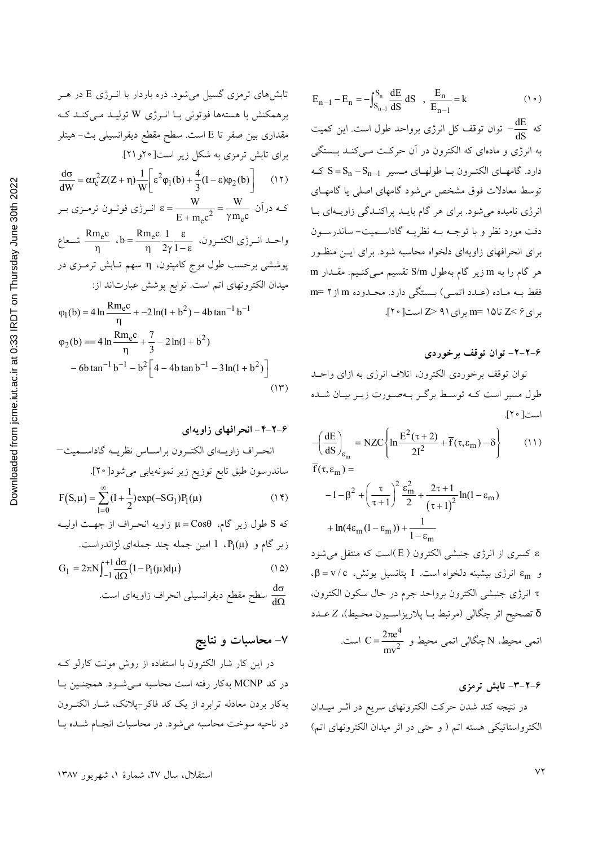تابشهای ترمنی کسیل میشود. ذره باردار با انرژی H  
\nبرهمکنش با هستهها فوتونی با انرژی W تولید میکند که  
\nبرای تابش ترمنی به شکل زیر است[۲۲و(۲]  
\n
$$
\frac{d\sigma}{dW} = \alpha r_e^2 Z(Z + \eta) \frac{1}{W} \left[ \varepsilon^2 \varphi_1(b) + \frac{4}{3} (1 - \varepsilon) \varphi_2(b) \right]
$$
\n(17)  
\n
$$
\frac{d\sigma}{dW} = \alpha r_e^2 Z(Z + \eta) \frac{1}{W} \left[ \varepsilon^2 \varphi_1(b) + \frac{4}{3} (1 - \varepsilon) \varphi_2(b) \right]
$$
\n(17)  
\n
$$
\frac{d\sigma}{dW} = \alpha r_e^2 Z(Z + \eta) \frac{1}{W} \left[ \varepsilon^2 \varphi_1(b) + \frac{4}{3} (1 - \varepsilon) \varphi_2(b) \right]
$$
\n(18)  
\n
$$
\varepsilon = \frac{W}{W} \varepsilon
$$
\n
$$
\varepsilon = \frac{W}{W} \varepsilon
$$
\n
$$
\varepsilon = \frac{W}{\gamma m_e c}
$$
\n
$$
\varepsilon = \frac{W}{\gamma m_e c}
$$
\n
$$
\varepsilon = \frac{W}{\gamma m_e c}
$$
\n
$$
\varepsilon = \frac{W}{\gamma m_e c}
$$
\n
$$
\varepsilon = \frac{W}{\gamma m_e c}
$$
\n
$$
\varepsilon = \frac{W}{\gamma m_e c}
$$
\n
$$
\varepsilon = \frac{W}{\gamma m_e c}
$$
\n
$$
\varepsilon = \frac{W}{\gamma m_e c}
$$
\n
$$
\varepsilon = \frac{W}{\gamma m_e c}
$$
\n
$$
\varepsilon = \frac{W}{\gamma m_e c}
$$
\n
$$
\varepsilon = \frac{W}{\gamma m_e c}
$$
\n
$$
\varepsilon = \frac{W}{\gamma m_e c}
$$
\n
$$
\varepsilon = \frac{W}{\gamma m_e c}
$$
\n
$$
\varepsilon = \frac{W}{\gamma m_e c}
$$
\n
$$
\varepsilon = \frac{W}{\gamma m_e c}
$$
\n

7–7–1~~نحرافهای زاويهای~~  
انجراف زاويهای الکترون براساس نظریه گاداسمیت—  
مانلدرسون طبق تابع توزیع زیر نمونهیابی میشود[ ۲۰].  
F(S,µ) = 
$$
\sum_{I=0}^{\infty} (1 + \frac{1}{2}) \exp(-SG_I)P_I(\mu)
$$
  
Sos  $S$  طول زیر گام،  $\mu = \text{Cosθ}$  (۱۲) 1 -  $\mu = \text{Cosθ}$   
که  $S$  طول زیر گام،  $P_I(\mu)$  1 امین جمله یا ۱۲-۲) ۱۲-۱۱  
زیر گام و (P<sub>I</sub>(µ) 1 امین جمله چنلا جملهای لژانلدراست.  
G<sub>I</sub> =  $2\pi N \int_{-1}^{+1} \frac{d\sigma}{d\Omega} (1 - P_I(\mu) d\mu)$ 

در این کار شار الکترون با استفاده از روش مونت کارلو ک در کد MCNP بهکار رفته است محاسبه مـی شـود. همچنـین بـا به کار بردن معادله ترابرد از یک کد فاکر-پلانک، شـار الکتـرون در ناحیه سوخت محاسبه می شود. در محاسبات انجام شـده بـا

$$
E_{n-1} - E_n = -\int_{S_{n-1}}^{S_n} \frac{dE}{dS} dS , \frac{E_n}{E_{n-1}} = k
$$
 (1°)

به انرژی و مادهای که الکترون در آن حرکت مـیکنـد بـستگی  $S = S_n - S_{n-1}$  دارد. گامهـای الکتـرون بــا طولهـای مــسیر توسط معادلات فوق مشخص می شود گامهای اصلی یا گامهـای انرژی نامیده میشود. برای هر گام بایـد پراکنـدگی زاویـهای بـا دقت مورد نظر و با توجــه بــه نظريــه گاداســميت- ساندرســون برای انحرافهای زاویهای دلخواه محاسبه شود. برای ایـن منظـور هر گام را به m زیر گام بهطول S/m تقسیم مـیکنـیم. مقـدار m فقط بـه مـاده (عـدد اتمـی) بـستگی دارد. محـدوده m از m= ۲ برای ۶ >Z تا۱۵ =m برای ۹۱ <Z است[ ۲۰].

۶–۲–۲– توان توقف برخوردی

توان توقف برخوردي الكترون، اتلاف انرژى به ازاى واحـد طول مسیر است کــه توسـط برگــر بــهصــورت زیــر بیــان شــده است[ ٢٠].

$$
-\left(\frac{dE}{dS}\right)_{\varepsilon_m} = NZC\left\{\ln\frac{E^2(\tau+2)}{2I^2} + \overline{f}(\tau,\varepsilon_m) - \delta\right\}
$$
(11)  

$$
\overline{f}(\tau,\varepsilon_m) =
$$

$$
-1 - \beta^2 + \left(\frac{\tau}{\tau + 1}\right)^2 \frac{\varepsilon_m^2}{2} + \frac{2\tau + 1}{(\tau + 1)^2} \ln(1 - \varepsilon_m)
$$

$$
+ \ln(4\varepsilon_m(1 - \varepsilon_m)) + \frac{1}{1 - \varepsilon_m}
$$

ε كسرى از انرژى جنبشى الكترون ( E)است كه منتقل مى شود  $\mathfrak{c}_m = \mathfrak{v} / \mathfrak{c}$  و  $\varepsilon_m$  انرژی بیشینه دلخواه است. I پتانسیل یونش، ع τ انرژى جنبشى الكترون برواحد جرم در حال سكون الكترون، ه تصحيح اثر چگالي (مرتبط بــا پلاريزاســيون محـيط)، Z عــدد اتمی محیط، N چگالی اتمی محیط و  $\frac{2\pi e^4}{e^2} = 0$  است.

۶–۲–۳– تابش ترمزی در نتیجه کند شدن حرکت الکترونهای سریع در اثـر میـدان الكترواستاتيكي هسته اتم ( و حتى در اثر ميدان الكترونهاى اتم)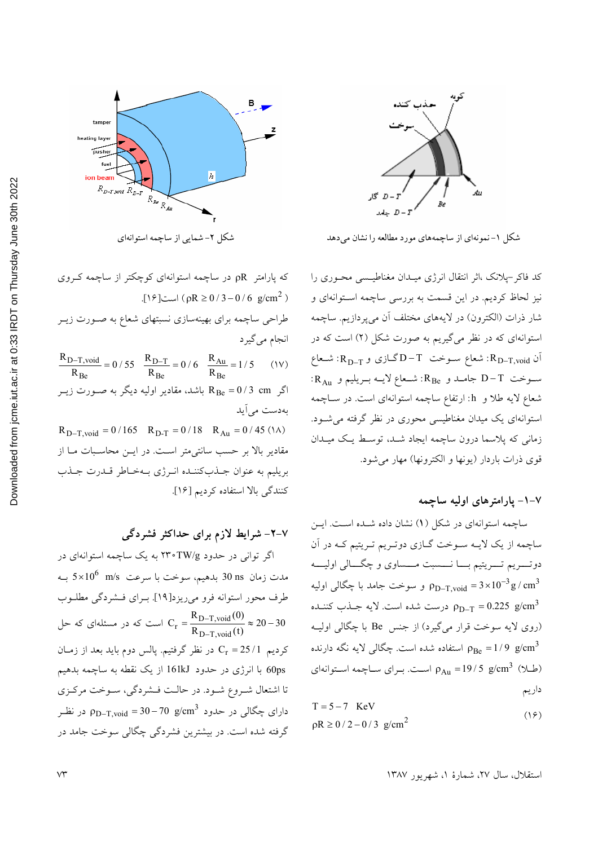

شکل ۱–نمونهای از ساچمههای مورد مطالعه را نشان می دهد

کد فاکر-پلانک ،اثر انتقال انرژی میـدان مغناطیـسی محـوری را نیز لحاظ کردیم. در این قسمت به بررسی ساچمه استوانهای و شار ذرات (الكترون) در لايههاي مختلف آن ميپردازيم. ساچمه استوانهای که در نظر میگیریم به صورت شکل (۲) است که در  $R_{D-T,void}$  أن  $R_{D-T,void}$ : شعاع سـوخت  $T-T$ گـازی و  $R_{D-T,void}$ : شـعاع  $R_{A_{11}}$  سوخت D−T جامـد و R<sub>Be</sub>: شـعاع لايــه بــريليم و R<sub>Au</sub>: شعاع لایه طلا و h: ارتفاع ساچمه استوانهای است. در سـاچمه استوانهای یک میدان مغناطیسی محوری در نظر گرفته می شـود. زمانی که پلاسما درون ساچمه ایجاد شـد، توسط یـک میـدان قوى ذرات باردار (يونها و الكترونها) مهار مى شود.

#### ۷–۱– یارامترهای اولیه ساچمه

ساچمه استوانهای در شکل (۱) نشان داده شـده اسـت. ایـن ساچمه از یک لایـه سـوخت گـازي دوتـریم تـریتیم کـه در آن دوتــــریم تــــریتیم بـــــا نــــــسبت مــــساوی و چگــــالی اولیـــــه و سوخت جامد با چگالی اولیه P $_{\rm D-T, void}$  = 3 $\times 10^{-3}$   ${\rm g}/{\rm cm}^3$ درست شده است. لایه جـذب کننـده  $\rho_{\text{D-T}} = 0.225$  g/cm<sup>3</sup> (روی لایه سوخت قرار میگیرد) از جنس Be با چگالی اولیـه استفاده شده است. چگالی لایه نگه دارنده  $\rho_{\rm Be} = 1/9$  g/cm $^3$  $\rho_{Au} = 19/5~{\rm g/cm}^3~(\pm 1)$ (طلا) هراست. برای ساچمه استوانه داریم

$$
T = 5 - 7 \text{ KeV}
$$
  
\n
$$
\rho R \ge 0 / 2 - 0 / 3 \text{ g/cm}^2
$$
 (19)



شکل ۲- شمایی از ساچمه استوانهای

که پارامتر pR در ساچمه استوانهای کوچکتر از ساچمه کـروی  $(1)$  (pR  $\ge 0/3 - 0/6$  g/cm<sup>2</sup>) طراحی ساچمه برای بهینهسازی نسبتهای شعاع به صـورت زیــر انجام مي گيرد  $\frac{R_{D-T,void}}{R_{Be}} = 0 / 55$  $\frac{R_{D-T}}{R_{Be}} = 0/6$   $\frac{R_{Au}}{R_{Be}} = 1/5$  $(1V)$ اگر R<sub>Be</sub> = 0 / 3 cm باشد، مقادیر اولیه دیگر به صـورت زیــر بەدست مى آيد  $R_{D-T,void} = 0/165$   $R_{D-T} = 0/18$   $R_{Au} = 0/45$  (1A) مقادیر بالا بر حسب سانتی متر است. در ایــن محاسـبات مـا از بريليم به عنوان جـذبكننـده انـرژى بـهخـاطر قـدرت جـذب

كنندگى بالا استفاده كرديم [١۶].

## ۷-۲- شرایط لازم برای حداکثر فشردگی

اگر توانی در حدود TW/g ۲۴۰ به یک ساچمه استوانهای در مدت زمان 30 30 بدهیم، سوخت با سرعت  $5\times10^6$  سه به طرف محور استوانه فرو مىريزد[١٩]. بـراى فـشردگى مطلـوب است که در مسئلهای که حل  $C_r = \frac{R_{D-T,void}(0)}{R_{D-T, void}(t)} \approx 20 - 30$ کردیم 1/25 = Cr در نظر گرفتیم. پالس دوم باید بعد از زمـان 60ps با انرژی در حدود 161kJ از یک نقطه به ساچمه بدهیم تا اشتعال شـروع شـود. در حالـت فـشردگي، سـوخت مركـزي دارای چگال<sub>ی</sub> در حدود p<sub>D–T.void</sub> = 30–70 g/cm<sup>3</sup> در نظـر گرفته شده است. در بیشترین فشردگی چگالی سوخت جامد در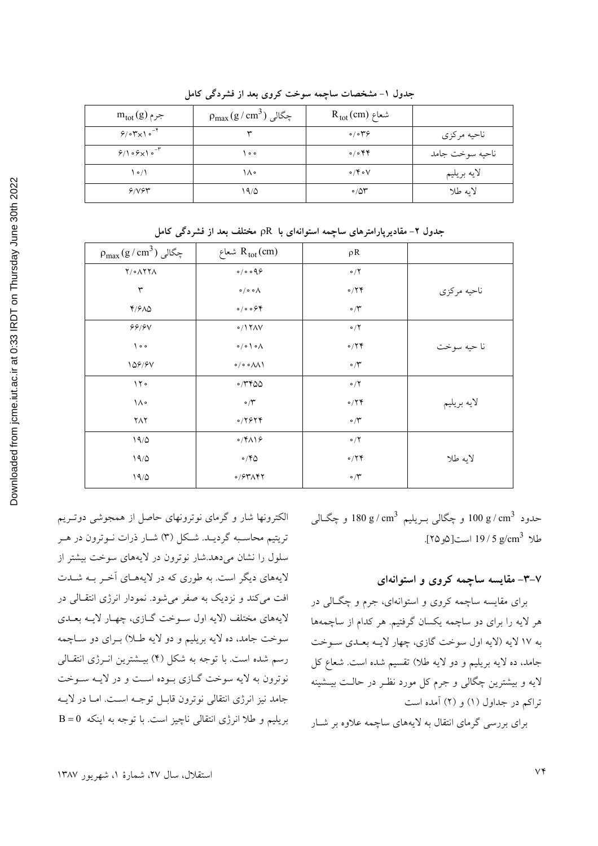| $m_{\rm tot}(g)$ جرم          | $\rho_{\text{max}}(g\,/\,\text{cm}^3)$ چگالی | $R_{tot}(cm)$ شعاع            |                 |
|-------------------------------|----------------------------------------------|-------------------------------|-----------------|
| $9/0$ $\gamma \times 10^{-4}$ |                                              | $\circ/\circ \mathcal{P}$     | ناحيه مركزي     |
| $9/109\times10^{-4}$          | $^{\circ}$                                   | $\circ / \circ \mathfrak{FP}$ | ناحيه سوخت جامد |
| $\cdot$ $\prime$ $\prime$     | ١٨۰                                          | $\circ$ /۴ $\circ$ ۷          | لايه بريليم     |
| 9/194                         | ۱۹/۵                                         | $\circ$ /50                   | لايه طلا        |

جدول ۱- مشخصات ساچمه سوخت کروی بعد از فشردگی کامل

جدول ۲- مقادیرپارامترهای ساچمه استوانهای با pR مختلف بعد از فشردگی کامل

| $\rho_{max}(g/cm^3)$ چگالی | شعاع $R_{tot}(cm)$                         | $\rho R$               |             |
|----------------------------|--------------------------------------------|------------------------|-------------|
| <b>Y/oAYYA</b>             | 0/0.099                                    | $\circ/7$              |             |
| ٣                          | $\circ / \circ \circ \wedge$               | $\circ$ /۲۴            | ناحيه مركزي |
| ۴/۶۸۵                      | 0/0.094                                    | $\cdot$ / $\tilde{}$   |             |
| 99/9V                      | 0/17AV                                     | $\circ/7$              |             |
| $\big\}$ o $\circ$         | $\circ / \circ$ \ $\circ \wedge$           | $\circ$ /۲۴            | نا حيه سوخت |
| 108/91                     | $\circ / \circ \circ \wedge \wedge \wedge$ | $\circ$ / $\mathsf{r}$ |             |
| 150                        | $\circ$ /۳۴۵۵                              | $\circ/7$              |             |
| ١٨٠                        | $\circ/ \check{r}$                         | $\circ$ /۲۴            | لايه بريليم |
| $Y\wedge Y$                | 0/7979                                     | $\circ/\mathsf{r}$     |             |
| 19/0                       | $\circ$ /۴۸۱۶                              | $\circ/7$              |             |
| 19/0                       | $\circ$ /۴۵                                | $\circ$ /۲۴            | لايه طلا    |
| 19/0                       | $0/54\pi$                                  | $\cdot$ / $\tilde{}$   |             |

حدود g / cm<sup>3</sup> و چگال<sub>ی</sub> بـريليم g / cm<sup>3</sup> و چگــالی طلا g/cm<sup>3</sup> 19 / 5 است[2و ٢۵].

## ۰–۳– مقایسه ساچمه کروی و استوانهای

برای مقایسه ساچمه کروی و استوانهای، جرم و چگــالی در هر لایه را برای دو ساچمه یکسان گرفتیم. هر کدام از ساچمهها به ۱۷ لایه (لایه اول سوخت گازي، چهار لايـه بعـدي سـوخت جامد، ده لايه بريليم و دو لايه طلا) تقسيم شده است. شعاع كل لایه و بیشترین چگالی و جرم کل مورد نظـر در حالـت بیــشینه تراکم در جداول (۱) و (۲) آمده است

برای بررسی گرمای انتقال به لایههای ساچمه علاوه بر شبار

الکترونها شار و گرمای نوترونهای حاصل از همجوشی دوتـریم تریتیم محاسـبه گردیـد. شـکل (۳) شـار ذرات نـوترون در هـر سلول را نشان می دهد.شار نوترون در لایههای سوخت بیشتر از لایههای دیگر است. به طوری که در لایههـای آخـر بـه شــدت افت مي كند و نزديك به صفر مي شود. نمودار انرژي انتقـالي در لايههاي مختلف (لايه اول سـوخت گــازي، چهــار لايــه بعــدي سوخت جامد، ده لايه بريليم و دو لايه طـلا) بـراي دو سـاچمه رسم شده است. با توجه به شکل (۴) بیـشترین انــرژی انتقــالی نوترون به لايه سوخت گـازي بـوده اسـت و در لايـه سـوخت جامد نيز انرژى انتقالى نوترون قابـل توجـه اسـت. امـا در لايــه بریلیم و طلا انرژی انتقالی ناچیز است. با توجه به اینکه B = 0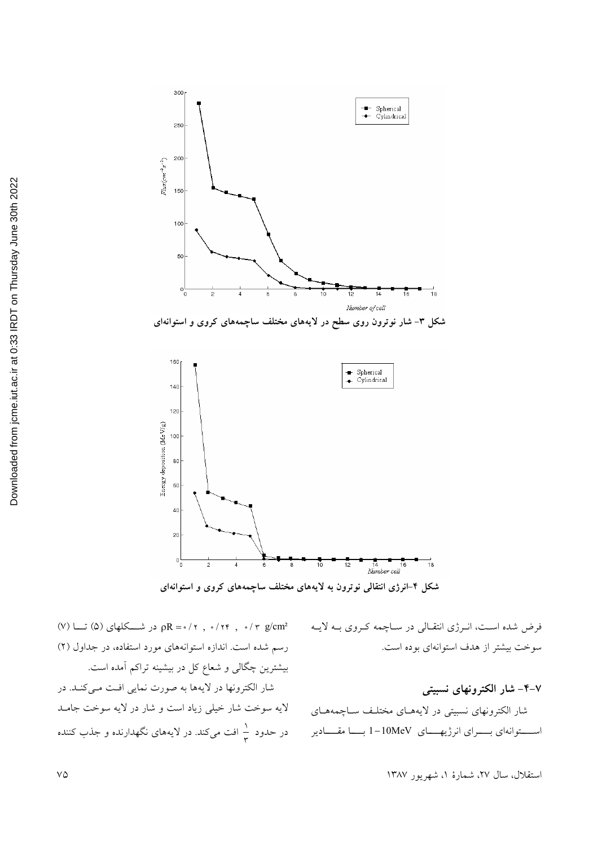

شکل ۳– شار نوترون روی سطح در لایههای مختلف ساچمههای کروی و استوانهای



شکل ۴-انرژی انتقالی نوترون به لایههای مختلف ساچمههای کروی و استوانهای

(V) در شـــکلهای (۵) تـــا (۷)  $R = \cdot / r$  , ۰/۲۴ , ۰/۳  $g/cm^2$ رسم شده است. اندازه استوانههای مورد استفاده، در جداول (۲) بیشترین چگالی و شعاع کل در بیشینه تراکم آمده است. شار الكترونها در لايهها به صورت نمايي افت مي كنـد. در لایه سوخت شار خیلی زیاد است و شار در لایه سوخت جامـد در حدود ب<mark>ه افت میکند. در لایههای نگهدارنده و جذب کننده</mark> فرض شده است، انرژی انتقالی در ساچمه کروی بـه لایـه سوخت بیشتر از هدف استوانهای بوده است.

۴-۲– شار الکترونهای نسبیتی شار الکترونهای نسبیتی در لایههـای مختلـف سـاچمههـای استوانهای بسرای انرژیهای I-10MeV بسا مقادیر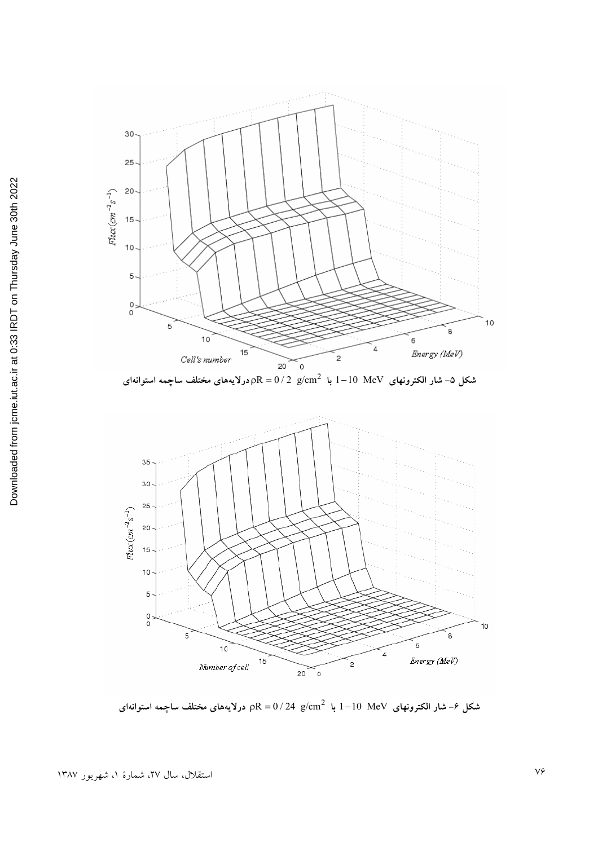

 1 10 MeV  **\$ b1 " <J ab"** <sup>2</sup> **&; V>B - ^'** 2R 0 / 2 g/ = cm **- -** 



شکل ۶− شار الکترونهای I $-10$  MeV با pR = 0 / 24  $\,$  2K درلایههای مختلف ساچم **- -**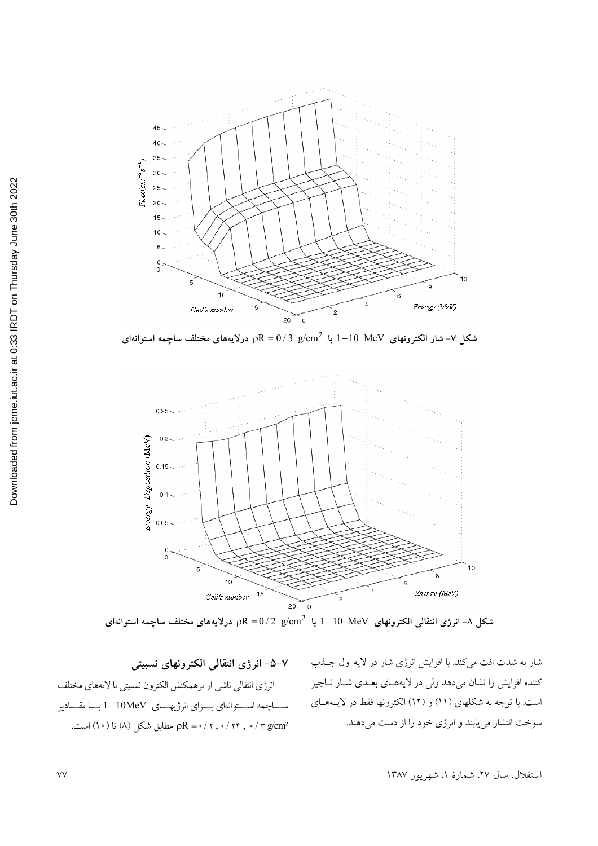

 1 10 MeV  **\$ b1 " <[ ab"** <sup>2</sup> **- -&; V>B - ^'** 2R 0 / 3 g/ = cm 



شکل ۸− انرژی انتقالی الکترونهای I $-10$  MeV با 2 <sub>P</sub>R = 0 / 2 g/cm<sup>2</sup> با درلایههای مختلف ساچمه استوانهای 

شار به شدت افت میکند. با افزایش انرژی شار در لایه اول جــذب كننده افزايش را نشان مى دهد ولى در لايههاى بعلدى شبار ناچيز است. با توجه به شکلهای (۱۱) و (۱۲) الکترونها فقط در لایــههــای سوخت انتشار مي يابند و انرژي خود را از دست مي دهند.

**+ \$ 31 1@ <J<[** انرژی انتقالی ناشی از برهمکنش الکترون نسبیتی با لایههای مختلف ساچمه استوانهای برای انرژیهای 10MeV با مقادیر r g/cm² (^) o ) تا (^) تا (^) است. pR =  $\cdot$ / ۲ ,  $\cdot$ / ۲ g/cm²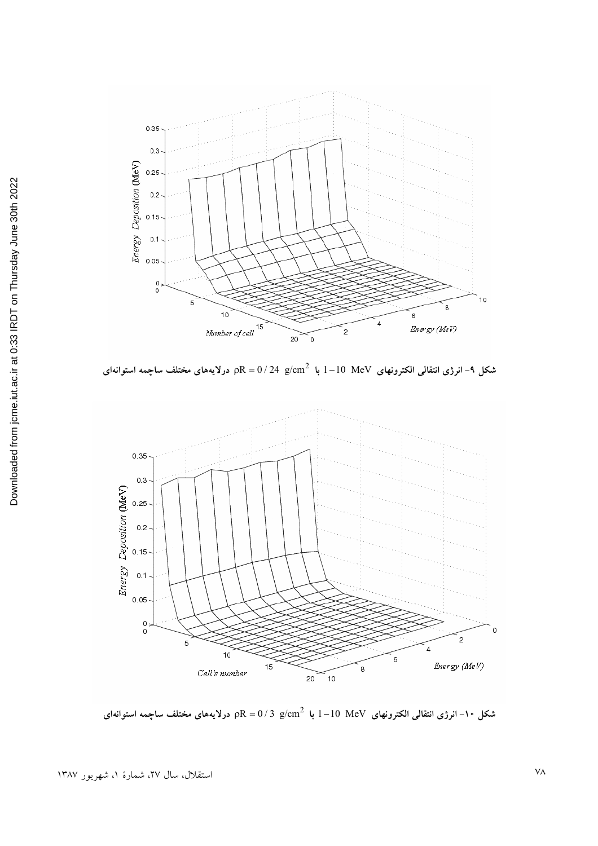

شکل ۹− انرژی انتقالی الکترونهای I $-10$  MeV با 24 g/cm<sup>2</sup> بر ${\rm R}={\rm 0/2}$  درلایههای مختلف ساچم **- -** 



شکل ۱۰− انرژی انتقالی الکترونهای I $-10~~{\rm MeV}$  با  ${\rm pR}={\rm 0/3}$  درلایههای مختلف ساچمه استوانهای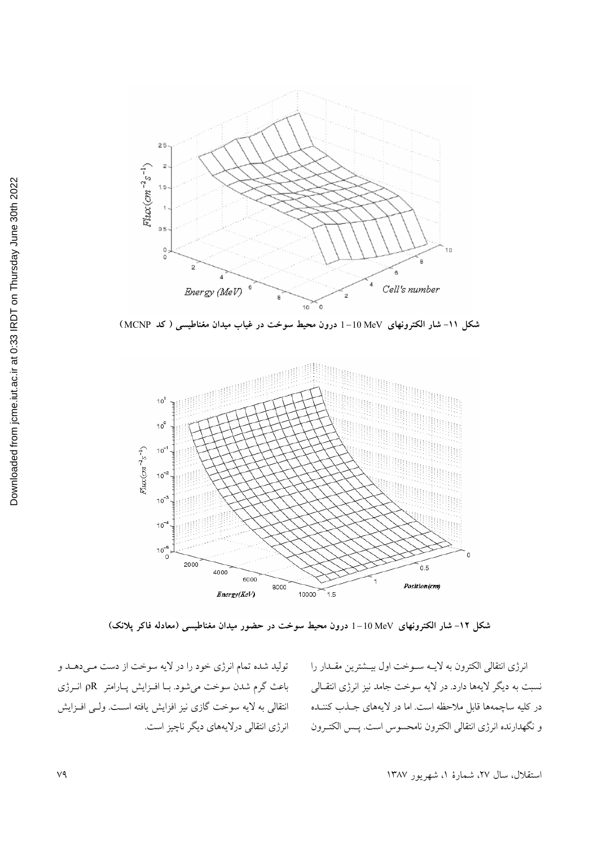

شکل ١١- شار الکترونهای MeV 10-1 درون محیط سوخت در غیاب میدان مغناطیسی ( کد MCNP )



شکل ۱۲- شار الکترونهای MeV و 1–10 درون محیط سوخت در حضور میدان مغناطیسی (معادله فاکر پلانک)

انرژی انتقالی الکترون به لایــه ســوخت اول بیــشترین مقــدار را نسبت به دیگر لایهها دارد. در لایه سوخت جامد نیز انرژی انتقـالی در کلیه ساچمهها قابل ملاحظه است. اما در لایههای جــذب کننــده و نگهدارنده انرژی انتقالی الکترون نامحسوس است. پــس الکتــرون

تولید شده تمام انرژی خود را در لایه سوخت از دست مـیدهـد و باعث گرم شدن سوخت میشود. بـا افـزايش پـارامتر pR انـرژی انتقالی به لایه سوخت گازی نیز افزایش یافته اسـت. ولـی افـزایش انرژی انتقالی درلایههای دیگر ناچیز است.

استقلال، سال ٢٧، شمارهٔ ١، شهریور ١٣٨٧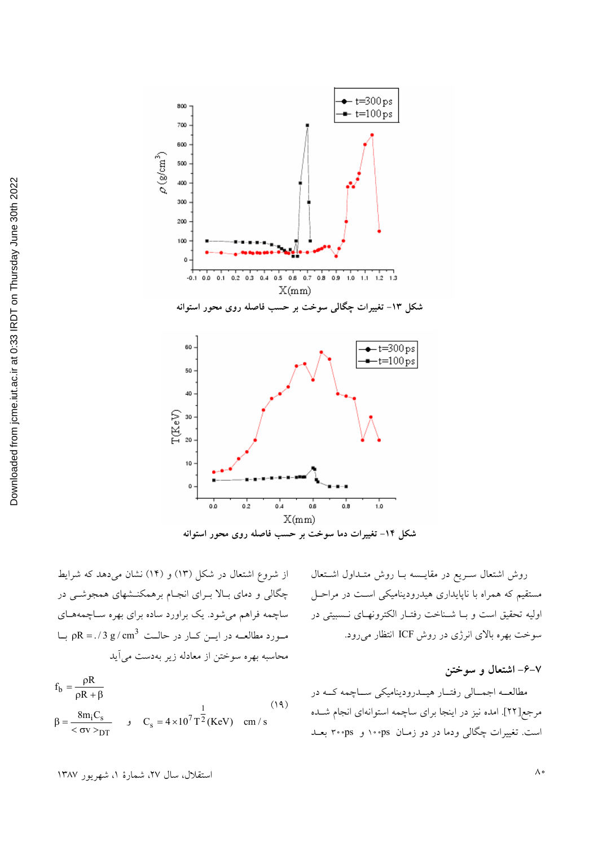

شکل ۱۴- تغییرات دما سوخت بر حسب فاصله روی محور استوانه

از شروع اشتعال در شکل (۱۳) و (۱۴) نشان میدهد که شرایط چگالی و دمای بـالا بـرای انجـام برهمکنــشهای همجوشــی در ساچمه فراهم میشود. یک براورد ساده برای بهره سـاچمههـای  $\mu = 0.73 \text{ g/cm}^3$  مورد مطالعه در ایس کبار در حالت  $\rho$ R = ./3 g/cm<sup>3</sup> محاسبه بهره سوختن از معادله زير بهدست مي آيد

$$
f_b = \frac{\rho R}{\rho R + \beta}
$$
  
\n
$$
\beta = \frac{8m_i C_s}{<\sigma v >_{DT}}
$$
 ,  $C_s = 4 \times 10^7 T^2 (KeV)$  cm/s (14)

روش اشتعال سـريع در مقايــسه بــا روش متــداول اشــتعال مستقیم که همراه با ناپایداری هیدرودینامیکی است در مراحـل اوليه تحقيق است وبا شناخت رفتار الكترونهاى نسبيتى در سوخت بهره بالای انرژی در روش ICF انتظار می رود.

۰۶–۷– اشتعال و سوختن

مطالعــه اجمــالي رفتــار هيــدروديناميكي ســاچمه كــه در مرجع[٢٢]. امده نيز در اينجا براي ساچمه استوانهاي انجام شـده است. تغییرات چگالی ودما در دو زمـان ps∘۰۰ و ۳۰۰ps بعـد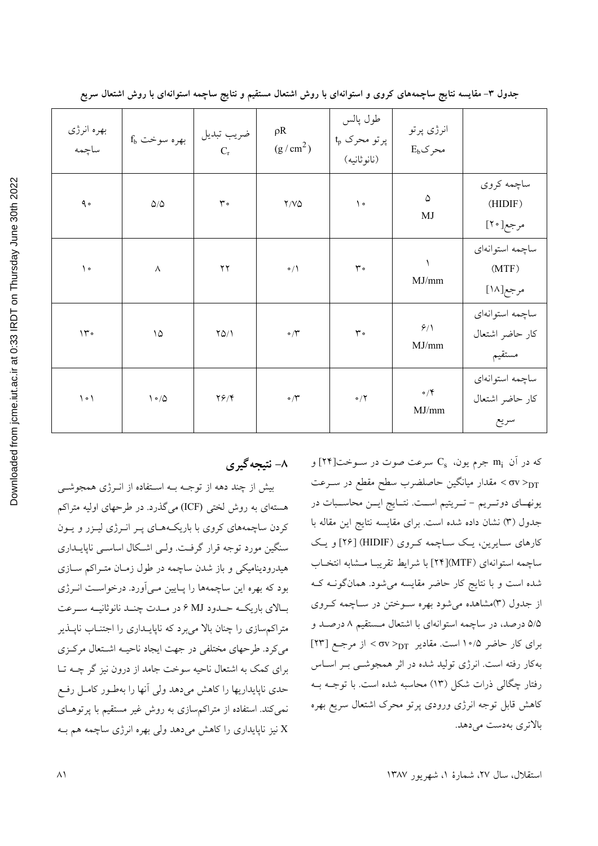| بهره انرژی<br>ساچمه           |                               |                        | $\rho R$<br>(g/cm <sup>2</sup> ) | طول پالس<br>$t_p$ پرتو محرک<br>(نانو ثانيه) | انرژی پرتو<br>$E_b$ محرک |                                              |
|-------------------------------|-------------------------------|------------------------|----------------------------------|---------------------------------------------|--------------------------|----------------------------------------------|
| $\triangleleft$ $\circ$       | $\Delta/\Delta$               | $\mathsf{r}$ .         | $\Upsilon/\Upsilon\Delta$        | $\backslash$ .                              | ۵<br>MJ                  | ساچمه کروي<br>(HIDIF)<br>مرجع[۲۰]            |
| $\backslash$ $\circ$          | $\boldsymbol{\wedge}$         | $\mathbf{Y}\mathbf{Y}$ | $\circ/$                         | $\mathsf{r} \cdot$                          | MJ/mm                    | ساچمه استوانهای<br>(MTF)<br>مرجع[١٨]         |
| $\mathcal{N}$ .               | $\backslash \mathcal{Q}$      | $YQ/\lambda$           | $\circ/\Upsilon$                 | $\mathbf r\cdot$                            | 9/1<br>MJ/mm             | ساچمه استوانهای<br>كار حاضر اشتعال<br>مستقيم |
| $\backslash \circ \backslash$ | $\backslash \circ / \lozenge$ | $Y \hat{Y} / Y$        | $\cdot$ $\uparrow$               | $\circ$ /٢                                  | $\circ/$<br>MJ/mm        | ساچمه استوانهای<br>كار حاضر اشتعال<br>سريع   |

جدول ۳- مقایسه نتایج ساچمههای کروی و استوانهای با روش اشتعال مستقیم و نتایج ساچمه استوانهای با روش اشتعال سریع

### ۸- نتیجهگیری

بیش از چند دهه از توجـه بـه اسـتفاده از انـرژی همجوشـی هستهای به روش لختی (ICF) میگذرد. در طرحهای اولیه متراکم کردن ساچمههای کروی با باریکههـای پـر انـرژی لیـزر و پـون سنگین مورد توجه قرار گرفت. ولـی اشـکال اساسـی ناپایــداری هیدرودینامیکی و باز شدن ساچمه در طول زمـان متـراکم سـازی بود که بهره این ساچمهها را پـایین مـی آورد. درخواسـت انـرژی بالاي باريكـه حـدود MJ ۶ در مـدت چنـد نانوثانيـه سـرعت متراکم سازی را چنان بالا می برد که ناپایــداری را اجتنــاب ناپــذیر می کرد. طرحهای مختلفی در جهت ایجاد ناحیـه اشـتعال مرکـزی برای کمک به اشتعال ناحیه سوخت جامد از درون نیز گر چــه تــا حدی ناپایداریها را کاهش میدهد ولی آنها را بهطـور کامـل رفـع نمی کند. استفاده از متراکم سازی به روش غیر مستقیم با پرتوهـای نیز ناپایداری را کاهش میدهد ولی بهره انرژی ساچمه هم بـه

که در آن  $\,{\rm m_i}\,$  جرم یون،  $\,{\rm C_s}\,$  سرعت صوت در سـوخت[۲۴] و مقدار میانگین حاصلضرب سطح مقطع در سـرعت  $\sigma$ v $>_{\rm DT}$ يونهـاي دوتـريم - تـريتيم اسـت. نتــايج ايــن محاسـبات در جدول (٣) نشان داده شده است. براي مقايسه نتايج اين مقاله با کارهای سـایرین، یـک سـاچمه کـروی (HIDIF) [۲۶] و یـک ساچمه استوانهای (MTF)[۲۴] با شرایط تقریبا مشابه انتخاب شده است و با نتایج کار حاضر مقایسه میشود. همانگونــه کــه از جدول (۳)مشاهده میشود بهره سـوختن در سـاچمه کـروی ۵/۵ درصد، در ساچمه استوانهای با اشتعال مستقیم ۸ درصـد و برای کار حاضر ۱۰/۵ است. مقادیر  $_{\text{DT}}$ < ov > از مرجع [۲۳] بهکار رفته است. انرژی تولید شده در اثر همجوشــی بــر اســاس رفتار چگالی ذرات شکل (۱۳) محاسبه شده است. با توجـه بـه كاهش قابل توجه انرژى ورودى پرتو محرك اشتعال سريع بهره بالاترى بەدست مى دهد.

استقلال، سال ٢٧، شمارة ١، شهريور ١٣٨٧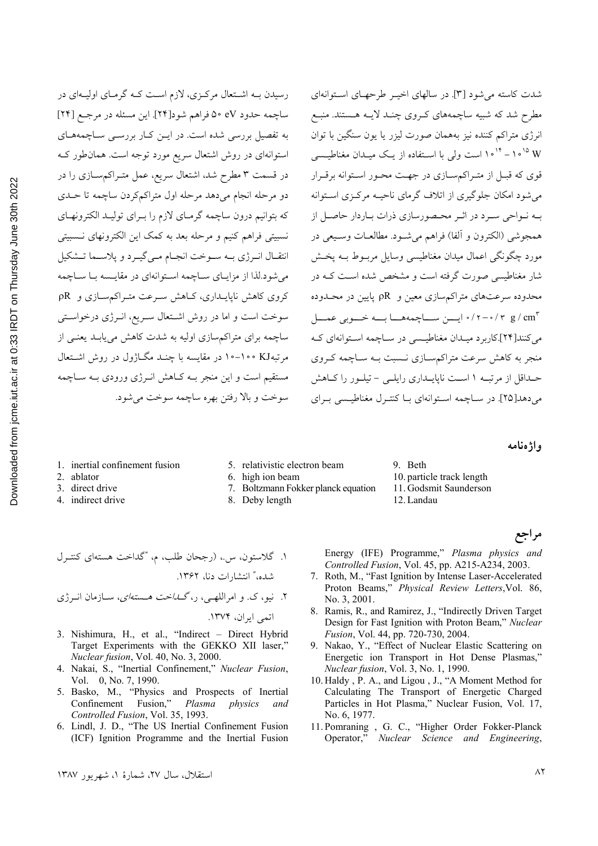رسیدن بـه اشـتعال مرکـزی، لازم اسـت کـه گرمـای اولیـهای در ساچمه حدود eV ٥٠ فراهم شود[٢۴]. این مسئله در مرجع [٢۴] به تفصیل بررسی شده است. در ایـن کـار بررسـی سـاچمههـای استوانهای در روش اشتعال سریع مورد توجه است. همان طور ک در قسمت ۳ مطرح شد، اشتعال سریع، عمل متـراکمسـازی را در دو مرحله انجام میدهد مرحله اول متراکم کردن ساچمه تا حـدی که بتوانیم درون ساچمه گرمـای لازم را بـرای تولیـد الکترونهـای نسبیتی فراهم کنیم و مرحله بعد به کمک این الکترونهای نـسبیتی انتقـال انـرژي بـه سـوخت انجـام مـي¢يـرد و پلاسـما تـشكيل می شود.لذا از مزایـای سـاچمه اسـتوانهای در مقایـسه بـا سـاچمه کروی کاهش ناپایـداری، کــاهش سـرعت متـراکم ســازی و  $R$ سوخت است و اما در روش اشتعال سریع، انرژی درخواستی ساچمه برای متراکم سازی اولیه به شدت کاهش می یابـد یعنـی از مرتبهKJ ۰۰-۱۰۰ در مقایسه با چنــد مگــاژول در روش اشــتعال مستقیم است و این منجر بـه کـاهش انـرژی ورودی بـه سـاچمه سوخت و بالا رفتن بهره ساچمه سوخت می شود.

شدت کاسته می شود [۳]. در سالهای اخیب طرحهای استوانهای مطرح شد که شبیه ساچمههای کروی چنـد لایـه هـستند. منبـع انرژی متراکم کننده نیز بههمان صورت لیزر یا یون سنگین با توان W ۱۰<sup>۱۵-۱۰</sup> است ولی با اسـتفاده از یـک میـدان مغناطیــسی قوی که قبـل از متـراکم سـازی در جهـت محـور اسـتوانه برقـرار می شود امکان جلوگیری از اتلاف گرمای ناحیـه مرکـزی اسـتوانه بـه نـواحی سـرد در اثـر محـصورسازی ذرات بـاردار حاصـل از همجوشي (الكترون و ألفا) فراهم مي شـود. مطالعــات وســيعي در مورد چگونگی اعمال میدان مغناطیسی وسایل مربـوط بــه پخــش شار مغناطیسی صورت گرفته است و مشخص شده اسـت کـه در محدوده سرعتهای متراکمسازی معین و pR پایین در محـدوده ۰/۲-۰/۳ g/cm می کنند[۲۴].کاربرد میـدان مغناطیـسی در سـاچمه اسـتوانهای کـه منجر به کاهش سرعت متراکم سازی نـسبت بـه سـاچمه کـروی حـداقل از مرتبــه ١ اســت ناپايــداري رايلــي – تيلــور را كــاهش میدهد[۲۵]. در ساچمه استوانهای با کنترل مغناطیسی برای

واژه نامه

- 1. inertial confinement fusion
- 2. ablator
- 3. direct drive
- 4. indirect drive
- 5. relativistic electron beam
- 6. high ion beam 7. Boltzmann Fokker planck equation

8. Deby length

- 9. Beth 10. particle track length
- 11. Godsmit Saunderson
- 12. Landau
- مراجع

- 3. Nishimura, H., et al., "Indirect Direct Hybrid Target Experiments with the GEKKO XII laser." Nuclear fusion, Vol. 40, No. 3, 2000.
- 4. Nakai, S., "Inertial Confinement," Nuclear Fusion, Vol. 0, No. 7, 1990.
- 5. Basko, M., "Physics and Prospects of Inertial Confinement Fusion," Plasma physics and Controlled Fusion, Vol. 35, 1993.
- 6. Lindl, J. D., "The US Inertial Confinement Fusion (ICF) Ignition Programme and the Inertial Fusion

Energy (IFE) Programme," Plasma physics and Controlled Fusion, Vol. 45, pp. A215-A234, 2003.

- 7. Roth, M., "Fast Ignition by Intense Laser-Accelerated Proton Beams," Physical Review Letters, Vol. 86, No. 3, 2001.
- 8. Ramis, R., and Ramirez, J., "Indirectly Driven Target Design for Fast Ignition with Proton Beam," Nuclear Fusion, Vol. 44, pp. 720-730, 2004.
- 9. Nakao, Y., "Effect of Nuclear Elastic Scattering on Energetic ion Transport in Hot Dense Plasmas," Nuclear fusion, Vol. 3, No. 1, 1990.
- 10. Haldy, P. A., and Ligou, J., "A Moment Method for Calculating The Transport of Energetic Charged Particles in Hot Plasma," Nuclear Fusion, Vol. 17, No. 6, 1977.
- 11. Pomraning , G. C., "Higher Order Fokker-Planck Operator," Nuclear Science and Engineering,